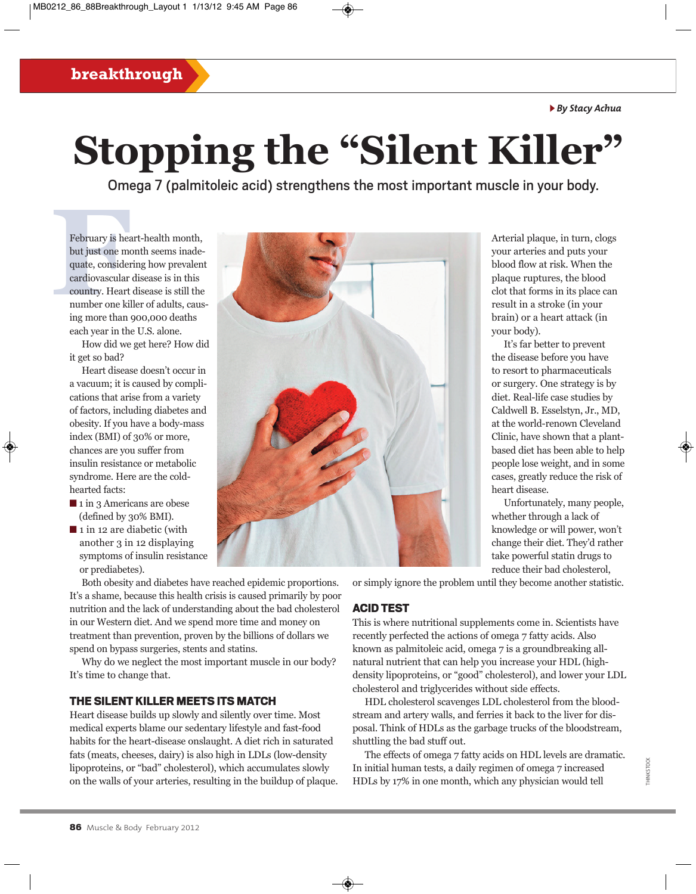#### <sup>u</sup> *By Stacy Achua*

## **breakthrough**

# **Stopping the "Silent Killer"**

Omega 7 (palmitoleic acid) strengthens the most important muscle in your body.

February is head<br>but just one mo<br>quate, consider<br>cardiovascular<br>country. Heart<br>number one kil<br>ing more than February is heart-health month, but just one month seems inadequate, considering how prevalent cardiovascular disease is in this country. Heart disease is still the number one killer of adults, causing more than 900,000 deaths each year in the U.S. alone.

> How did we get here? How did it get so bad?

Heart disease doesn't occur in a vacuum; it is caused by complications that arise from a variety of factors, including diabetes and obesity. If you have a body-mass index (BMI) of 30% or more, chances are you suffer from insulin resistance or metabolic syndrome. Here are the coldhearted facts:

- $\blacksquare$  1 in 3 Americans are obese (defined by 30% BMI).
- $\blacksquare$  1 in 12 are diabetic (with another 3 in 12 displaying symptoms of insulin resistance or prediabetes).

Both obesity and diabetes have reached epidemic proportions. It's a shame, because this health crisis is caused primarily by poor nutrition and the lack of understanding about the bad cholesterol in our Western diet. And we spend more time and money on treatment than prevention, proven by the billions of dollars we spend on bypass surgeries, stents and statins.

Why do we neglect the most important muscle in our body? It's time to change that.

## THE SILENT KILLER MEETS ITS MATCH

Heart disease builds up slowly and silently over time. Most medical experts blame our sedentary lifestyle and fast-food habits for the heart-disease onslaught. A diet rich in saturated fats (meats, cheeses, dairy) is also high in LDLs (low-density lipoproteins, or "bad" cholesterol), which accumulates slowly on the walls of your arteries, resulting in the buildup of plaque.



Arterial plaque, in turn, clogs your arteries and puts your blood flow at risk. When the plaque ruptures, the blood clot that forms in its place can result in a stroke (in your brain) or a heart attack (in your body).

It's far better to prevent the disease before you have to resort to pharmaceuticals or surgery. One strategy is by diet. Real-life case studies by Caldwell B. Esselstyn, Jr., MD, at the world-renown Cleveland Clinic, have shown that a plantbased diet has been able to help people lose weight, and in some cases, greatly reduce the risk of heart disease.

Unfortunately, many people, whether through a lack of knowledge or will power, won't change their diet. They'd rather take powerful statin drugs to reduce their bad cholesterol,

or simply ignore the problem until they become another statistic.

#### ACID TEST

This is where nutritional supplements come in. Scientists have recently perfected the actions of omega 7 fatty acids. Also known as palmitoleic acid, omega 7 is a groundbreaking allnatural nutrient that can help you increase your HDL (highdensity lipoproteins, or "good" cholesterol), and lower your LDL cholesterol and triglycerides without side effects.

HDL cholesterol scavenges LDL cholesterol from the bloodstream and artery walls, and ferries it back to the liver for disposal. Think of HDLs as the garbage trucks of the bloodstream, shuttling the bad stuff out.

The effects of omega 7 fatty acids on HDL levels are dramatic. In initial human tests, a daily regimen of omega 7 increased HDLs by 17% in one month, which any physician would tell